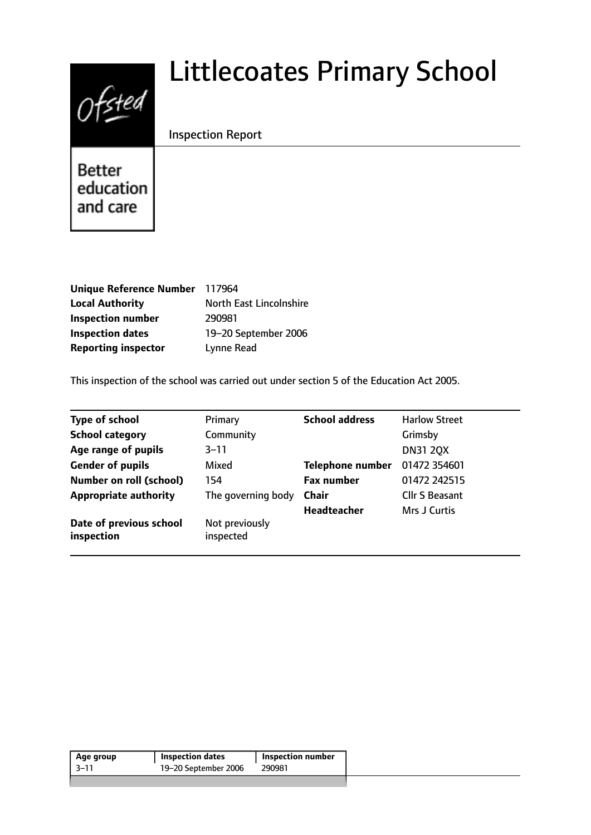# $0$ fsted

# Littlecoates Primary School

# Inspection Report

Better education and care

| Unique Reference Number 117964 |                         |
|--------------------------------|-------------------------|
| <b>Local Authority</b>         | North East Lincolnshire |
| <b>Inspection number</b>       | 290981                  |
| <b>Inspection dates</b>        | 19-20 September 2006    |
| <b>Reporting inspector</b>     | Lynne Read              |

This inspection of the school was carried out under section 5 of the Education Act 2005.

| <b>Type of school</b>                 | Primary                     | <b>School address</b>   | <b>Harlow Street</b>  |
|---------------------------------------|-----------------------------|-------------------------|-----------------------|
| <b>School category</b>                | Community                   |                         | Grimsby               |
| Age range of pupils                   | $3 - 11$                    |                         | <b>DN31 20X</b>       |
| <b>Gender of pupils</b>               | Mixed                       | <b>Telephone number</b> | 01472 354601          |
| <b>Number on roll (school)</b>        | 154                         | <b>Fax number</b>       | 01472 242515          |
| <b>Appropriate authority</b>          | The governing body          | <b>Chair</b>            | <b>Cllr S Beasant</b> |
|                                       |                             | <b>Headteacher</b>      | Mrs J Curtis          |
| Date of previous school<br>inspection | Not previously<br>inspected |                         |                       |

| Age group | <b>Inspection dates</b> | <b>Inspection number</b> |
|-----------|-------------------------|--------------------------|
| $-3 - 11$ | 19-20 September 2006    | 290981                   |
|           |                         |                          |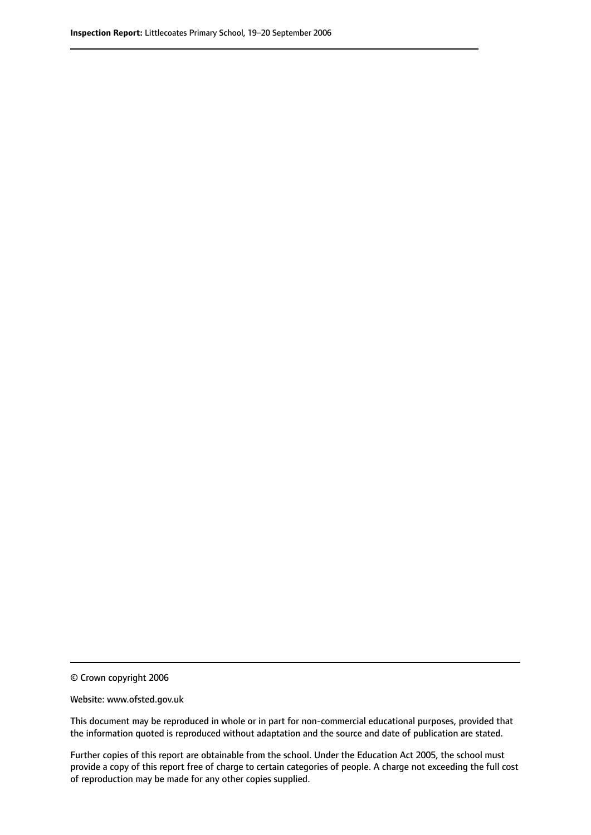© Crown copyright 2006

Website: www.ofsted.gov.uk

This document may be reproduced in whole or in part for non-commercial educational purposes, provided that the information quoted is reproduced without adaptation and the source and date of publication are stated.

Further copies of this report are obtainable from the school. Under the Education Act 2005, the school must provide a copy of this report free of charge to certain categories of people. A charge not exceeding the full cost of reproduction may be made for any other copies supplied.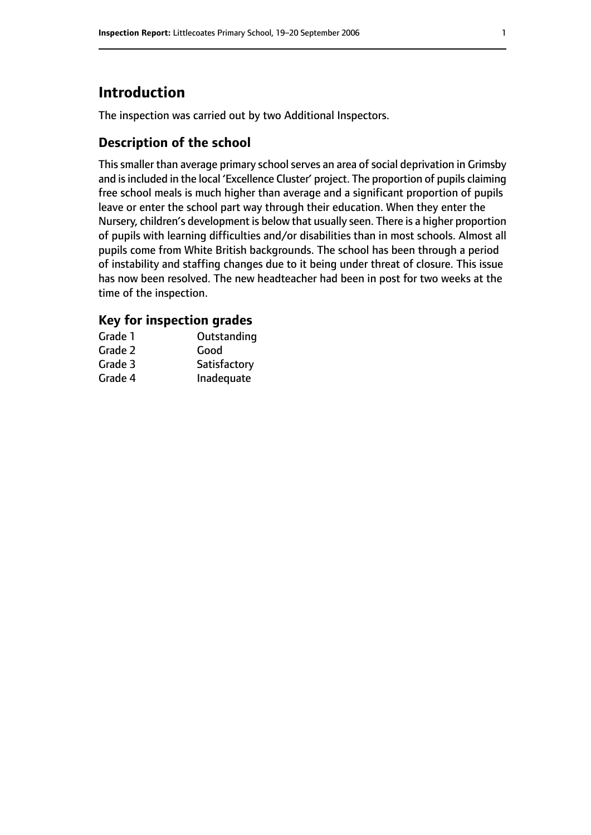# **Introduction**

The inspection was carried out by two Additional Inspectors.

# **Description of the school**

This smaller than average primary school serves an area of social deprivation in Grimsby and is included in the local 'Excellence Cluster' project. The proportion of pupils claiming free school meals is much higher than average and a significant proportion of pupils leave or enter the school part way through their education. When they enter the Nursery, children's development is below that usually seen. There is a higher proportion of pupils with learning difficulties and/or disabilities than in most schools. Almost all pupils come from White British backgrounds. The school has been through a period of instability and staffing changes due to it being under threat of closure. This issue has now been resolved. The new headteacher had been in post for two weeks at the time of the inspection.

# **Key for inspection grades**

| Grade 1 | Outstanding  |
|---------|--------------|
| Grade 2 | Good         |
| Grade 3 | Satisfactory |
| Grade 4 | Inadequate   |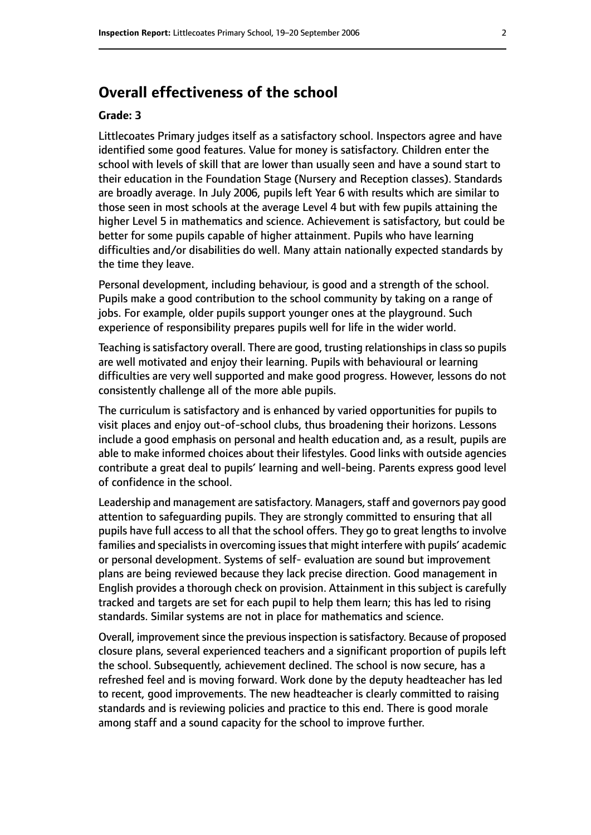# **Overall effectiveness of the school**

#### **Grade: 3**

Littlecoates Primary judges itself as a satisfactory school. Inspectors agree and have identified some good features. Value for money is satisfactory. Children enter the school with levels of skill that are lower than usually seen and have a sound start to their education in the Foundation Stage (Nursery and Reception classes). Standards are broadly average. In July 2006, pupils left Year 6 with results which are similar to those seen in most schools at the average Level 4 but with few pupils attaining the higher Level 5 in mathematics and science. Achievement is satisfactory, but could be better for some pupils capable of higher attainment. Pupils who have learning difficulties and/or disabilities do well. Many attain nationally expected standards by the time they leave.

Personal development, including behaviour, is good and a strength of the school. Pupils make a good contribution to the school community by taking on a range of jobs. For example, older pupils support younger ones at the playground. Such experience of responsibility prepares pupils well for life in the wider world.

Teaching is satisfactory overall. There are good, trusting relationships in class so pupils are well motivated and enjoy their learning. Pupils with behavioural or learning difficulties are very well supported and make good progress. However, lessons do not consistently challenge all of the more able pupils.

The curriculum is satisfactory and is enhanced by varied opportunities for pupils to visit places and enjoy out-of-school clubs, thus broadening their horizons. Lessons include a good emphasis on personal and health education and, as a result, pupils are able to make informed choices about their lifestyles. Good links with outside agencies contribute a great deal to pupils' learning and well-being. Parents express good level of confidence in the school.

Leadership and management are satisfactory. Managers, staff and governors pay good attention to safeguarding pupils. They are strongly committed to ensuring that all pupils have full access to all that the school offers. They go to great lengths to involve families and specialists in overcoming issues that might interfere with pupils' academic or personal development. Systems of self- evaluation are sound but improvement plans are being reviewed because they lack precise direction. Good management in English provides a thorough check on provision. Attainment in this subject is carefully tracked and targets are set for each pupil to help them learn; this has led to rising standards. Similar systems are not in place for mathematics and science.

Overall, improvement since the previous inspection is satisfactory. Because of proposed closure plans, several experienced teachers and a significant proportion of pupils left the school. Subsequently, achievement declined. The school is now secure, has a refreshed feel and is moving forward. Work done by the deputy headteacher has led to recent, good improvements. The new headteacher is clearly committed to raising standards and is reviewing policies and practice to this end. There is good morale among staff and a sound capacity for the school to improve further.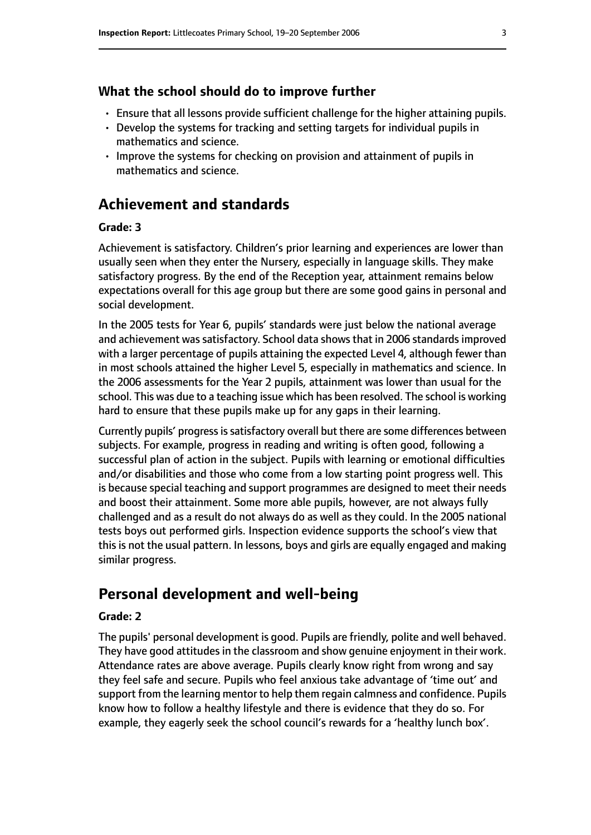#### **What the school should do to improve further**

- Ensure that all lessons provide sufficient challenge for the higher attaining pupils.
- Develop the systems for tracking and setting targets for individual pupils in mathematics and science.
- Improve the systems for checking on provision and attainment of pupils in mathematics and science.

# **Achievement and standards**

#### **Grade: 3**

Achievement is satisfactory. Children's prior learning and experiences are lower than usually seen when they enter the Nursery, especially in language skills. They make satisfactory progress. By the end of the Reception year, attainment remains below expectations overall for this age group but there are some good gains in personal and social development.

In the 2005 tests for Year 6, pupils' standards were just below the national average and achievement was satisfactory. School data shows that in 2006 standards improved with a larger percentage of pupils attaining the expected Level 4, although fewer than in most schools attained the higher Level 5, especially in mathematics and science. In the 2006 assessments for the Year 2 pupils, attainment was lower than usual for the school. This was due to a teaching issue which has been resolved. The school is working hard to ensure that these pupils make up for any gaps in their learning.

Currently pupils' progress is satisfactory overall but there are some differences between subjects. For example, progress in reading and writing is often good, following a successful plan of action in the subject. Pupils with learning or emotional difficulties and/or disabilities and those who come from a low starting point progress well. This is because special teaching and support programmes are designed to meet their needs and boost their attainment. Some more able pupils, however, are not always fully challenged and as a result do not always do as well as they could. In the 2005 national tests boys out performed girls. Inspection evidence supports the school's view that this is not the usual pattern. In lessons, boys and girls are equally engaged and making similar progress.

# **Personal development and well-being**

#### **Grade: 2**

The pupils' personal development is good. Pupils are friendly, polite and well behaved. They have good attitudes in the classroom and show genuine enjoyment in their work. Attendance rates are above average. Pupils clearly know right from wrong and say they feel safe and secure. Pupils who feel anxious take advantage of 'time out' and support from the learning mentor to help them regain calmness and confidence. Pupils know how to follow a healthy lifestyle and there is evidence that they do so. For example, they eagerly seek the school council's rewards for a 'healthy lunch box'.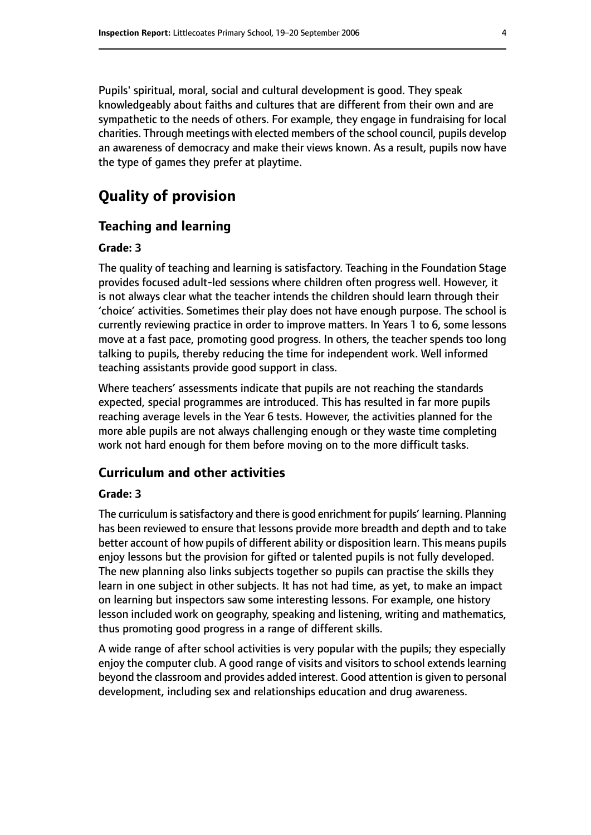Pupils' spiritual, moral, social and cultural development is good. They speak knowledgeably about faiths and cultures that are different from their own and are sympathetic to the needs of others. For example, they engage in fundraising for local charities. Through meetings with elected members of the school council, pupils develop an awareness of democracy and make their views known. As a result, pupils now have the type of games they prefer at playtime.

# **Quality of provision**

#### **Teaching and learning**

#### **Grade: 3**

The quality of teaching and learning is satisfactory. Teaching in the Foundation Stage provides focused adult-led sessions where children often progress well. However, it is not always clear what the teacher intends the children should learn through their 'choice' activities. Sometimes their play does not have enough purpose. The school is currently reviewing practice in order to improve matters. In Years 1 to 6, some lessons move at a fast pace, promoting good progress. In others, the teacher spends too long talking to pupils, thereby reducing the time for independent work. Well informed teaching assistants provide good support in class.

Where teachers' assessments indicate that pupils are not reaching the standards expected, special programmes are introduced. This has resulted in far more pupils reaching average levels in the Year 6 tests. However, the activities planned for the more able pupils are not always challenging enough or they waste time completing work not hard enough for them before moving on to the more difficult tasks.

#### **Curriculum and other activities**

#### **Grade: 3**

The curriculum issatisfactory and there is good enrichment for pupils' learning. Planning has been reviewed to ensure that lessons provide more breadth and depth and to take better account of how pupils of different ability or disposition learn. This means pupils enjoy lessons but the provision for gifted or talented pupils is not fully developed. The new planning also links subjects together so pupils can practise the skills they learn in one subject in other subjects. It has not had time, as yet, to make an impact on learning but inspectors saw some interesting lessons. For example, one history lesson included work on geography, speaking and listening, writing and mathematics, thus promoting good progress in a range of different skills.

A wide range of after school activities is very popular with the pupils; they especially enjoy the computer club. A good range of visits and visitors to school extends learning beyond the classroom and provides added interest. Good attention is given to personal development, including sex and relationships education and drug awareness.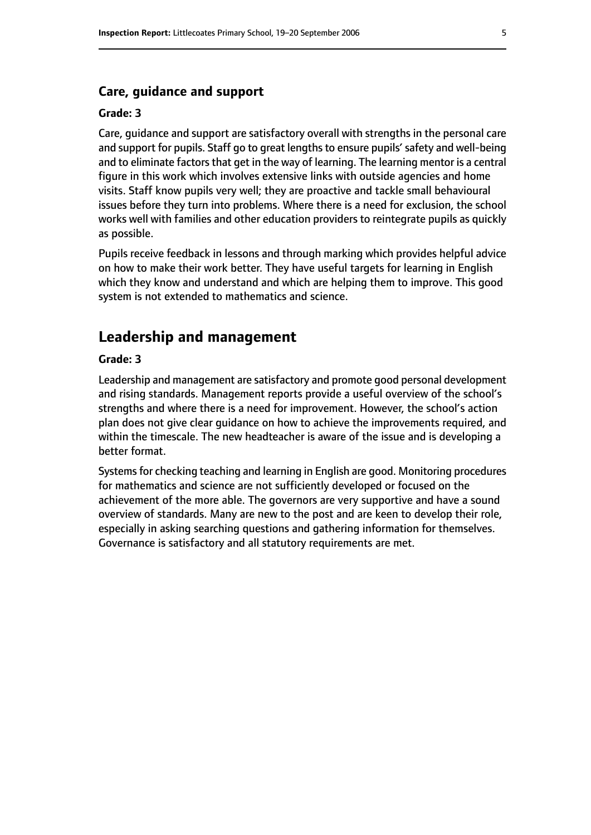#### **Care, guidance and support**

#### **Grade: 3**

Care, guidance and support are satisfactory overall with strengths in the personal care and support for pupils. Staff go to great lengths to ensure pupils' safety and well-being and to eliminate factors that get in the way of learning. The learning mentor is a central figure in this work which involves extensive links with outside agencies and home visits. Staff know pupils very well; they are proactive and tackle small behavioural issues before they turn into problems. Where there is a need for exclusion, the school works well with families and other education providers to reintegrate pupils as quickly as possible.

Pupils receive feedback in lessons and through marking which provides helpful advice on how to make their work better. They have useful targets for learning in English which they know and understand and which are helping them to improve. This good system is not extended to mathematics and science.

### **Leadership and management**

#### **Grade: 3**

Leadership and management are satisfactory and promote good personal development and rising standards. Management reports provide a useful overview of the school's strengths and where there is a need for improvement. However, the school's action plan does not give clear guidance on how to achieve the improvements required, and within the timescale. The new headteacher is aware of the issue and is developing a better format.

Systems for checking teaching and learning in English are good. Monitoring procedures for mathematics and science are not sufficiently developed or focused on the achievement of the more able. The governors are very supportive and have a sound overview of standards. Many are new to the post and are keen to develop their role, especially in asking searching questions and gathering information for themselves. Governance is satisfactory and all statutory requirements are met.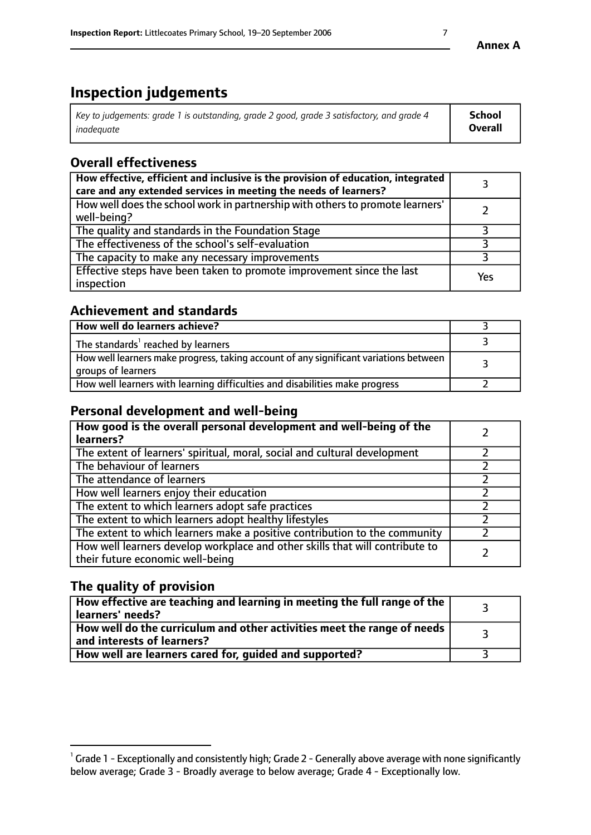# **Inspection judgements**

| Key to judgements: grade 1 is outstanding, grade 2 good, grade 3 satisfactory, and grade 4 | School  |
|--------------------------------------------------------------------------------------------|---------|
| inadeauate                                                                                 | Overall |

# **Overall effectiveness**

| How effective, efficient and inclusive is the provision of education, integrated<br>care and any extended services in meeting the needs of learners? |     |
|------------------------------------------------------------------------------------------------------------------------------------------------------|-----|
| How well does the school work in partnership with others to promote learners'<br>well-being?                                                         |     |
| The quality and standards in the Foundation Stage                                                                                                    |     |
| The effectiveness of the school's self-evaluation                                                                                                    |     |
| The capacity to make any necessary improvements                                                                                                      |     |
| Effective steps have been taken to promote improvement since the last<br>inspection                                                                  | Yes |

# **Achievement and standards**

| How well do learners achieve?                                                                               |  |
|-------------------------------------------------------------------------------------------------------------|--|
| The standards <sup>1</sup> reached by learners                                                              |  |
| How well learners make progress, taking account of any significant variations between<br>groups of learners |  |
| How well learners with learning difficulties and disabilities make progress                                 |  |

# **Personal development and well-being**

| How good is the overall personal development and well-being of the<br>learners?                                  |  |
|------------------------------------------------------------------------------------------------------------------|--|
| The extent of learners' spiritual, moral, social and cultural development                                        |  |
| The behaviour of learners                                                                                        |  |
| The attendance of learners                                                                                       |  |
| How well learners enjoy their education                                                                          |  |
| The extent to which learners adopt safe practices                                                                |  |
| The extent to which learners adopt healthy lifestyles                                                            |  |
| The extent to which learners make a positive contribution to the community                                       |  |
| How well learners develop workplace and other skills that will contribute to<br>their future economic well-being |  |

# **The quality of provision**

| $\Box$ How effective are teaching and learning in meeting the full range of the $\Box$<br>  learners' needs?        |  |
|---------------------------------------------------------------------------------------------------------------------|--|
| $\mid$ How well do the curriculum and other activities meet the range of needs<br>$\mid$ and interests of learners? |  |
| How well are learners cared for, guided and supported?                                                              |  |

 $^1$  Grade 1 - Exceptionally and consistently high; Grade 2 - Generally above average with none significantly below average; Grade 3 - Broadly average to below average; Grade 4 - Exceptionally low.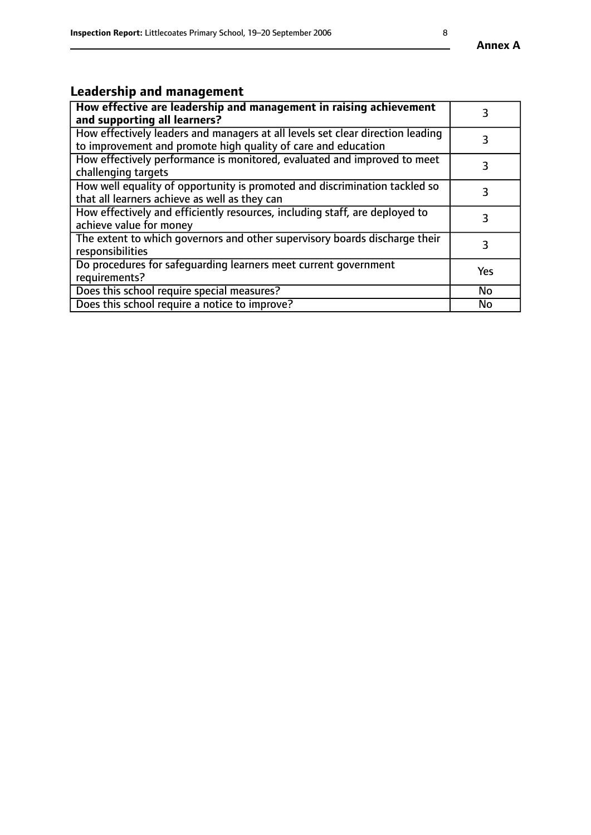# **Leadership and management**

| How effective are leadership and management in raising achievement<br>and supporting all learners?                                              |           |
|-------------------------------------------------------------------------------------------------------------------------------------------------|-----------|
| How effectively leaders and managers at all levels set clear direction leading<br>to improvement and promote high quality of care and education |           |
| How effectively performance is monitored, evaluated and improved to meet<br>challenging targets                                                 | 3         |
| How well equality of opportunity is promoted and discrimination tackled so<br>that all learners achieve as well as they can                     |           |
| How effectively and efficiently resources, including staff, are deployed to<br>achieve value for money                                          | 3         |
| The extent to which governors and other supervisory boards discharge their<br>responsibilities                                                  | 3         |
| Do procedures for safequarding learners meet current government<br>requirements?                                                                | Yes       |
| Does this school require special measures?                                                                                                      | No        |
| Does this school require a notice to improve?                                                                                                   | <b>No</b> |